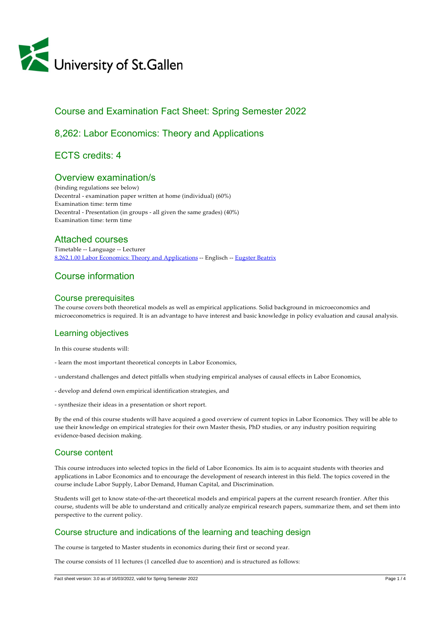

# Course and Examination Fact Sheet: Spring Semester 2022

# 8,262: Labor Economics: Theory and Applications

ECTS credits: 4

# Overview examination/s

(binding regulations see below) Decentral ‑ examination paper written at home (individual) (60%) Examination time: term time Decentral ‑ Presentation (in groups ‑ all given the same grades) (40%) Examination time: term time

## Attached courses

Timetable ‑‑ Language ‑‑ Lecturer [8,262,1.00 Labor Economics: Theory and Applications](https://tools.unisg.ch/Url/csw53x) -- Englisch -- [Eugster Beatrix](https://www.unisg.ch/Personenverzeichnis/de835d4e-5403-4025-b45d-9d36aaa770db)

# Course information

#### Course prerequisites

The course covers both theoretical models as well as empirical applications. Solid background in microeconomics and microeconometrics is required. It is an advantage to have interest and basic knowledge in policy evaluation and causal analysis.

## Learning objectives

In this course students will:

- ‑ learn the most important theoretical concepts in Labor Economics,
- ‑ understand challenges and detect pitfalls when studying empirical analyses of causal effects in Labor Economics,
- ‑ develop and defend own empirical identification strategies, and
- ‑ synthesize their ideas in a presentation or short report.

By the end of this course students will have acquired a good overview of current topics in Labor Economics. They will be able to use their knowledge on empirical strategies for their own Master thesis, PhD studies, or any industry position requiring evidence‑based decision making.

## Course content

This course introduces into selected topics in the field of Labor Economics. Its aim is to acquaint students with theories and applications in Labor Economics and to encourage the development of research interest in this field. The topics covered in the course include Labor Supply, Labor Demand, Human Capital, and Discrimination.

Students will get to know state-of-the-art theoretical models and empirical papers at the current research frontier. After this course, students will be able to understand and critically analyze empirical research papers, summarize them, and set them into perspective to the current policy.

## Course structure and indications of the learning and teaching design

The course is targeted to Master students in economics during their first or second year.

The course consists of 11 lectures (1 cancelled due to ascention) and is structured as follows: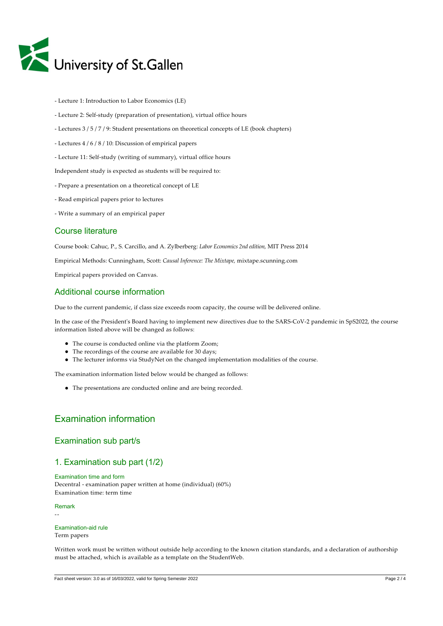

- ‑ Lecture 1: Introduction to Labor Economics (LE)
- ‑ Lecture 2: Self‑study (preparation of presentation), virtual office hours
- ‑ Lectures 3 / 5 / 7 / 9: Student presentations on theoretical concepts of LE (book chapters)
- ‑ Lectures 4 / 6 / 8 / 10: Discussion of empirical papers
- ‑ Lecture 11: Self‑study (writing of summary), virtual office hours

Independent study is expected as students will be required to:

- ‑ Prepare a presentation on a theoretical concept of LE
- ‑ Read empirical papers prior to lectures
- ‑ Write a summary of an empirical paper

#### Course literature

Course book: Cahuc, P., S. Carcillo, and A. Zylberberg: *Labor Economics 2nd edition,* MIT Press 2014

Empirical Methods: Cunningham, Scott: *Causal Inference: The Mixtape,* mixtape.scunning.com

Empirical papers provided on Canvas.

### Additional course information

Due to the current pandemic, if class size exceeds room capacity, the course will be delivered online.

In the case of the President's Board having to implement new directives due to the SARS-CoV-2 pandemic in SpS2022, the course information listed above will be changed as follows:

- The course is conducted online via the platform Zoom;
- The recordings of the course are available for 30 days;
- The lecturer informs via StudyNet on the changed implementation modalities of the course.

The examination information listed below would be changed as follows:

The presentations are conducted online and are being recorded.

# Examination information

#### Examination sub part/s

### 1. Examination sub part (1/2)

Examination time and form Decentral ‑ examination paper written at home (individual) (60%) Examination time: term time

Remark

‑‑

# Examination-aid rule

Term papers

Written work must be written without outside help according to the known citation standards, and a declaration of authorship must be attached, which is available as a template on the StudentWeb.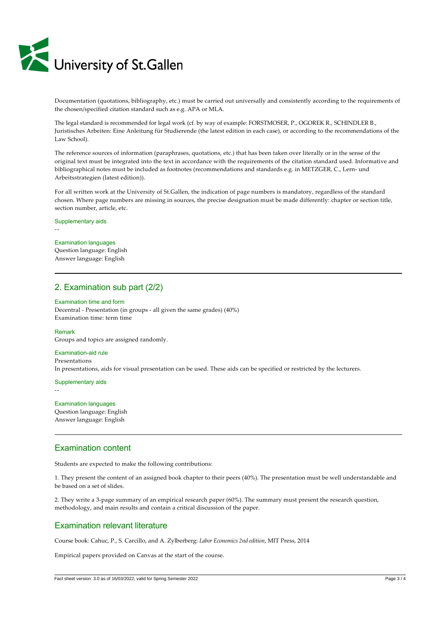

Documentation (quotations, bibliography, etc.) must be carried out universally and consistently according to the requirements of the chosen/specified citation standard such as e.g. APA or MLA.

The legal standard is recommended for legal work (cf. by way of example: FORSTMOSER, P., OGOREK R., SCHINDLER B., Juristisches Arbeiten: Eine Anleitung für Studierende (the latest edition in each case), or according to the recommendations of the Law School).

The reference sources of information (paraphrases, quotations, etc.) that has been taken over literally or in the sense of the original text must be integrated into the text in accordance with the requirements of the citation standard used. Informative and bibliographical notes must be included as footnotes (recommendations and standards e.g. in METZGER, C., Lern- und Arbeitsstrategien (latest edition)).

For all written work at the University of St.Gallen, the indication of page numbers is mandatory, regardless of the standard chosen. Where page numbers are missing in sources, the precise designation must be made differently: chapter or section title, section number, article, etc.

Supplementary aids

# Examination languages

‑‑

Question language: English Answer language: English

# 2. Examination sub part (2/2)

#### Examination time and form

Decentral ‑ Presentation (in groups ‑ all given the same grades) (40%) Examination time: term time

Remark Groups and topics are assigned randomly.

#### Examination-aid rule Presentations

In presentations, aids for visual presentation can be used. These aids can be specified or restricted by the lecturers.

Supplementary aids

‑‑

#### Examination languages Question language: English Answer language: English

### Examination content

Students are expected to make the following contributions:

1. They present the content of an assigned book chapter to their peers (40%). The presentation must be well understandable and be based on a set of slides.

2. They write a 3‑page summary of an empirical research paper (60%). The summary must present the research question, methodology, and main results and contain a critical discussion of the paper.

### Examination relevant literature

Course book: Cahuc, P., S. Carcillo, and A. Zylberberg: *Labor Economics 2nd edition*, MIT Press, 2014

Empirical papers provided on Canvas at the start of the course.